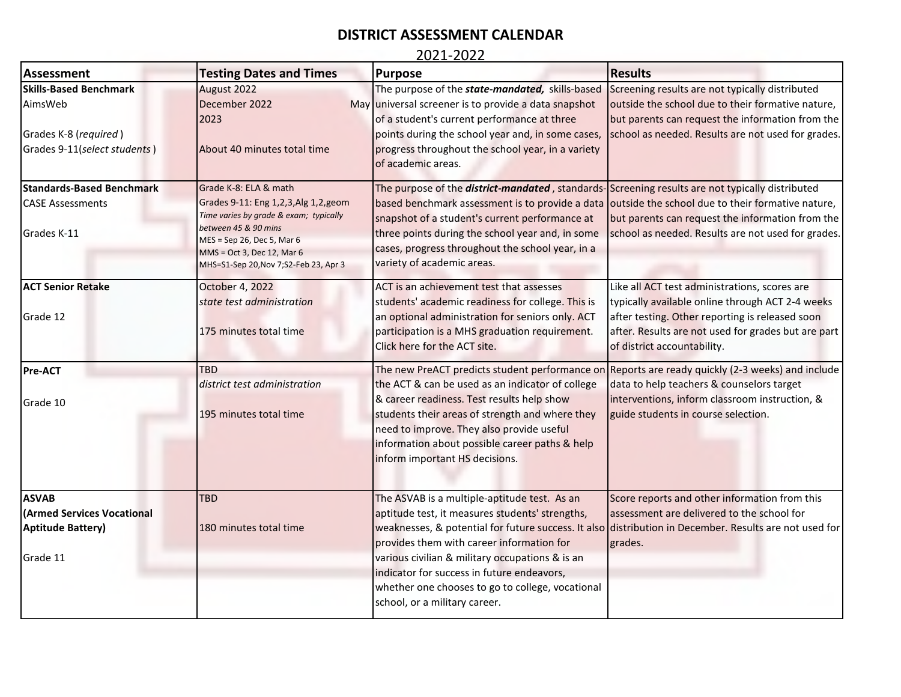# **DISTRICT ASSESSMENT CALENDAR**

### 2021-2022

| <b>Assessment</b>                | <b>Testing Dates and Times</b>                     | <b>Purpose</b>                                                                                          | <b>Results</b>                                                                                         |
|----------------------------------|----------------------------------------------------|---------------------------------------------------------------------------------------------------------|--------------------------------------------------------------------------------------------------------|
| <b>Skills-Based Benchmark</b>    | August 2022                                        | The purpose of the <b>state-mandated</b> , skills-based                                                 | Screening results are not typically distributed                                                        |
| AimsWeb                          | December 2022                                      | May universal screener is to provide a data snapshot                                                    | outside the school due to their formative nature,                                                      |
|                                  | 2023                                               | of a student's current performance at three                                                             | but parents can request the information from the                                                       |
| Grades K-8 (required)            |                                                    | points during the school year and, in some cases,                                                       | school as needed. Results are not used for grades.                                                     |
| Grades 9-11(select students)     | About 40 minutes total time                        | progress throughout the school year, in a variety                                                       |                                                                                                        |
|                                  |                                                    | of academic areas.                                                                                      |                                                                                                        |
| <b>Standards-Based Benchmark</b> | Grade K-8: ELA & math                              | The purpose of the <i>district-mandated</i> , standards-Screening results are not typically distributed |                                                                                                        |
| <b>CASE Assessments</b>          | Grades 9-11: Eng 1,2,3, Alg 1,2, geom              | based benchmark assessment is to provide a data outside the school due to their formative nature,       |                                                                                                        |
|                                  | Time varies by grade & exam; typically             | snapshot of a student's current performance at                                                          | but parents can request the information from the                                                       |
| Grades K-11                      | between 45 & 90 mins<br>MES = Sep 26, Dec 5, Mar 6 | three points during the school year and, in some                                                        | school as needed. Results are not used for grades.                                                     |
|                                  | MMS = Oct 3, Dec 12, Mar 6                         | cases, progress throughout the school year, in a                                                        |                                                                                                        |
|                                  | MHS=S1-Sep 20, Nov 7; S2-Feb 23, Apr 3             | variety of academic areas.                                                                              |                                                                                                        |
| <b>ACT Senior Retake</b>         | October 4, 2022                                    | ACT is an achievement test that assesses                                                                | Like all ACT test administrations, scores are                                                          |
|                                  | state test administration                          | students' academic readiness for college. This is                                                       | typically available online through ACT 2-4 weeks                                                       |
| Grade 12                         |                                                    | an optional administration for seniors only. ACT                                                        | after testing. Other reporting is released soon                                                        |
|                                  | 175 minutes total time                             | participation is a MHS graduation requirement.                                                          | after. Results are not used for grades but are part                                                    |
|                                  |                                                    | Click here for the ACT site.                                                                            | of district accountability.                                                                            |
| <b>Pre-ACT</b>                   | <b>TBD</b>                                         | The new PreACT predicts student performance on                                                          | Reports are ready quickly (2-3 weeks) and include                                                      |
|                                  | district test administration                       | the ACT & can be used as an indicator of college                                                        | data to help teachers & counselors target                                                              |
| Grade 10                         |                                                    | & career readiness. Test results help show                                                              | interventions, inform classroom instruction, &                                                         |
|                                  | 195 minutes total time                             | students their areas of strength and where they                                                         | guide students in course selection.                                                                    |
|                                  |                                                    | need to improve. They also provide useful                                                               |                                                                                                        |
|                                  |                                                    | information about possible career paths & help                                                          |                                                                                                        |
|                                  |                                                    | inform important HS decisions.                                                                          |                                                                                                        |
|                                  |                                                    |                                                                                                         |                                                                                                        |
| <b>ASVAB</b>                     | <b>TBD</b>                                         | The ASVAB is a multiple-aptitude test. As an                                                            | Score reports and other information from this                                                          |
| <b>Armed Services Vocational</b> |                                                    | aptitude test, it measures students' strengths,                                                         | assessment are delivered to the school for                                                             |
| <b>Aptitude Battery)</b>         | 180 minutes total time                             |                                                                                                         | weaknesses, & potential for future success. It also distribution in December. Results are not used for |
| Grade 11                         |                                                    | provides them with career information for                                                               | grades.                                                                                                |
|                                  |                                                    | various civilian & military occupations & is an<br>indicator for success in future endeavors,           |                                                                                                        |
|                                  |                                                    |                                                                                                         |                                                                                                        |
|                                  |                                                    | whether one chooses to go to college, vocational<br>school, or a military career.                       |                                                                                                        |
|                                  |                                                    |                                                                                                         |                                                                                                        |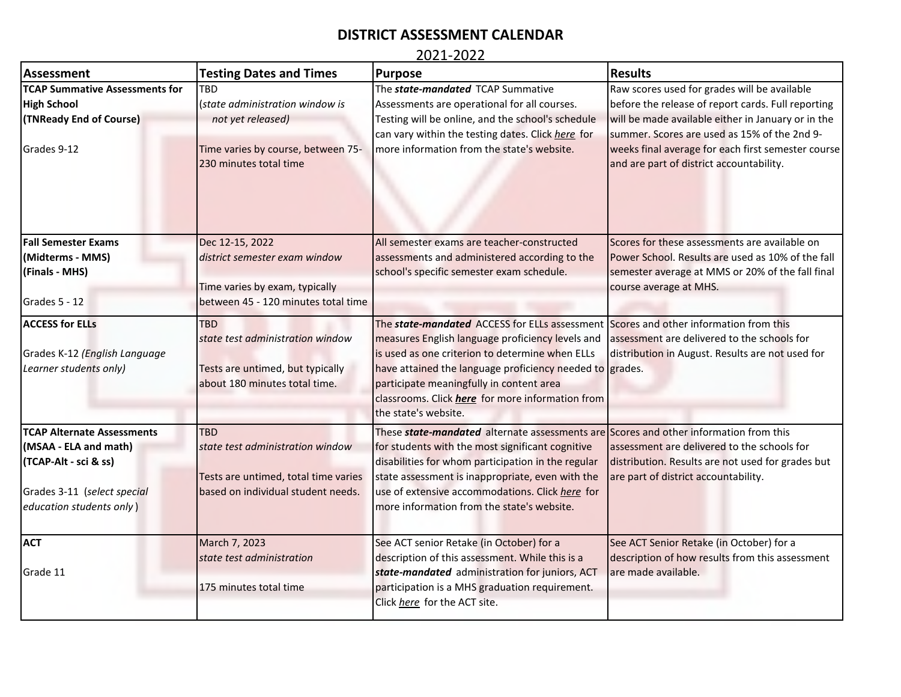## **DISTRICT ASSESSMENT CALENDAR**

### 2021-2022

| <b>Assessment</b>                                                                 | <b>Testing Dates and Times</b>                                                                                      | Purpose                                                                                                                                                                                                                                                                                                                                                                                       | <b>Results</b>                                                                                     |
|-----------------------------------------------------------------------------------|---------------------------------------------------------------------------------------------------------------------|-----------------------------------------------------------------------------------------------------------------------------------------------------------------------------------------------------------------------------------------------------------------------------------------------------------------------------------------------------------------------------------------------|----------------------------------------------------------------------------------------------------|
| <b>TCAP Summative Assessments for</b>                                             | TRD                                                                                                                 | The state-mandated TCAP Summative                                                                                                                                                                                                                                                                                                                                                             | Raw scores used for grades will be available                                                       |
| <b>High School</b>                                                                | (state administration window is                                                                                     | Assessments are operational for all courses.                                                                                                                                                                                                                                                                                                                                                  | before the release of report cards. Full reporting                                                 |
| (TNReady End of Course)                                                           | not yet released)                                                                                                   | Testing will be online, and the school's schedule                                                                                                                                                                                                                                                                                                                                             | will be made available either in January or in the                                                 |
|                                                                                   |                                                                                                                     | can vary within the testing dates. Click here for                                                                                                                                                                                                                                                                                                                                             | summer. Scores are used as 15% of the 2nd 9-                                                       |
| Grades 9-12                                                                       | Time varies by course, between 75-<br>230 minutes total time                                                        | more information from the state's website.                                                                                                                                                                                                                                                                                                                                                    | weeks final average for each first semester course<br>and are part of district accountability.     |
| <b>Fall Semester Exams</b>                                                        | Dec 12-15, 2022<br>district semester exam window                                                                    | All semester exams are teacher-constructed                                                                                                                                                                                                                                                                                                                                                    | Scores for these assessments are available on<br>Power School. Results are used as 10% of the fall |
| (Midterms - MMS)<br>(Finals - MHS)                                                |                                                                                                                     | assessments and administered according to the<br>school's specific semester exam schedule.                                                                                                                                                                                                                                                                                                    | semester average at MMS or 20% of the fall final                                                   |
|                                                                                   | Time varies by exam, typically                                                                                      |                                                                                                                                                                                                                                                                                                                                                                                               | course average at MHS.                                                                             |
| Grades 5 - 12                                                                     | between 45 - 120 minutes total time                                                                                 |                                                                                                                                                                                                                                                                                                                                                                                               |                                                                                                    |
| <b>ACCESS for ELLs</b><br>Grades K-12 (English Language<br>Learner students only) | <b>TBD</b><br>state test administration window<br>Tests are untimed, but typically<br>about 180 minutes total time. | The <b>state-mandated</b> ACCESS for ELLs assessment Scores and other information from this<br>measures English language proficiency levels and<br>is used as one criterion to determine when ELLs<br>have attained the language proficiency needed to grades.<br>participate meaningfully in content area<br>classrooms. Click <i>here</i> for more information from<br>the state's website. | assessment are delivered to the schools for<br>distribution in August. Results are not used for    |
| <b>TCAP Alternate Assessments</b>                                                 | <b>TBD</b>                                                                                                          | These <b>state-mandated</b> alternate assessments are Scores and other information from this                                                                                                                                                                                                                                                                                                  |                                                                                                    |
| (MSAA - ELA and math)                                                             | state test administration window                                                                                    | for students with the most significant cognitive                                                                                                                                                                                                                                                                                                                                              | assessment are delivered to the schools for                                                        |
| (TCAP-Alt - sci & ss)                                                             | Tests are untimed, total time varies                                                                                | disabilities for whom participation in the regular<br>state assessment is inappropriate, even with the                                                                                                                                                                                                                                                                                        | distribution. Results are not used for grades but<br>are part of district accountability.          |
| Grades 3-11 (select special<br>education students only)                           | based on individual student needs.                                                                                  | use of extensive accommodations. Click here for<br>more information from the state's website.                                                                                                                                                                                                                                                                                                 |                                                                                                    |
| <b>ACT</b>                                                                        | March 7, 2023                                                                                                       | See ACT senior Retake (in October) for a                                                                                                                                                                                                                                                                                                                                                      | See ACT Senior Retake (in October) for a                                                           |
|                                                                                   | state test administration                                                                                           | description of this assessment. While this is a                                                                                                                                                                                                                                                                                                                                               | description of how results from this assessment                                                    |
| Grade 11                                                                          |                                                                                                                     | state-mandated administration for juniors, ACT                                                                                                                                                                                                                                                                                                                                                | are made available.                                                                                |
|                                                                                   | 175 minutes total time                                                                                              | participation is a MHS graduation requirement.<br>Click here for the ACT site.                                                                                                                                                                                                                                                                                                                |                                                                                                    |